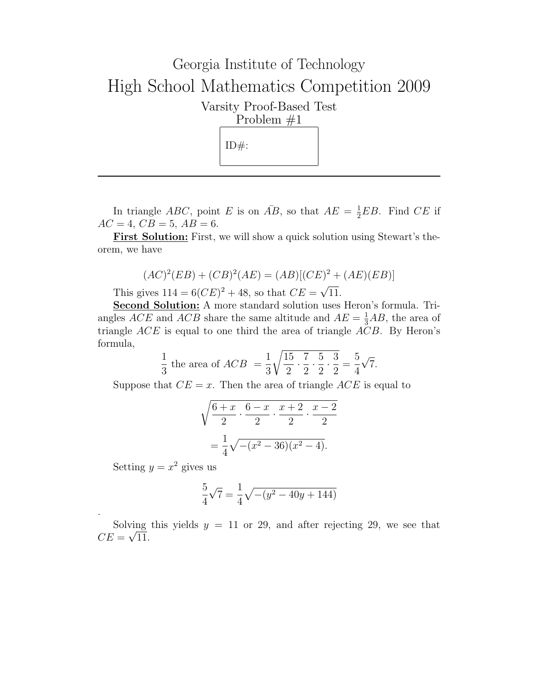## Georgia Institute of Technology High School Mathematics Competition 2009 Varsity Proof-Based Test Problem #1  $ID#$ :

In triangle ABC, point E is on  $\overline{AB}$ , so that  $AE = \frac{1}{2}EB$ . Find CE if  $AC = 4, CB = 5, AB = 6.$ 

**First Solution:** First, we will show a quick solution using Stewart's theorem, we have

$$
(AC)^{2}(EB) + (CB)^{2}(AE) = (AB)[(CE)^{2} + (AE)(EB)]
$$

This gives  $114 = 6(CE)^{2} + 48$ , so that  $CE =$ 11.

Second Solution: A more standard solution uses Heron's formula. Triangles  $ACE$  and  $ACB$  share the same altitude and  $AE = \frac{1}{3}AB$ , the area of triangle  $ACE$  is equal to one third the area of triangle  $ACB$ . By Heron's formula,

$$
\frac{1}{3} \text{ the area of } ACB = \frac{1}{3} \sqrt{\frac{15}{2} \cdot \frac{7}{2} \cdot \frac{5}{2} \cdot \frac{3}{2}} = \frac{5}{4} \sqrt{7}.
$$

Suppose that  $CE = x$ . Then the area of triangle  $ACE$  is equal to

$$
\sqrt{\frac{6+x}{2} \cdot \frac{6-x}{2} \cdot \frac{x+2}{2} \cdot \frac{x-2}{2}}
$$

$$
= \frac{1}{4} \sqrt{-(x^2 - 36)(x^2 - 4)}.
$$

Setting  $y = x^2$  gives us

.

$$
\frac{5}{4}\sqrt{7}=\frac{1}{4}\sqrt{-(y^2-40y+144)}
$$

Solving this yields  $y = 11$  or 29, and after rejecting 29, we see that  $CE = \sqrt{11}$ .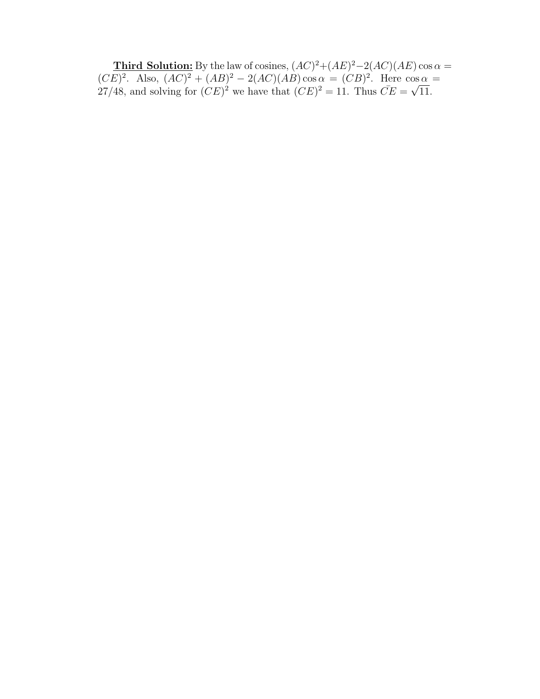**Third Solution:** By the law of cosines,  $(AC)^2 + (AE)^2 - 2(AC)(AE) \cos \alpha =$  $(CE)^2$ . Also,  $(AC)^2 + (AB)^2 - 2(AC)(AB)\cos \alpha = (CB)^2$ . Here  $\cos \alpha =$  $(CE)^2$ . Also,  $(AC)^2 + (AB)^2 = 2(AC)(AB)\cos\alpha = (CB)^2$ . Here  $\cos 27/48$ , and solving for  $(CE)^2$  we have that  $(CE)^2 = 11$ . Thus  $\overline{CE} = \sqrt{ }$ 11.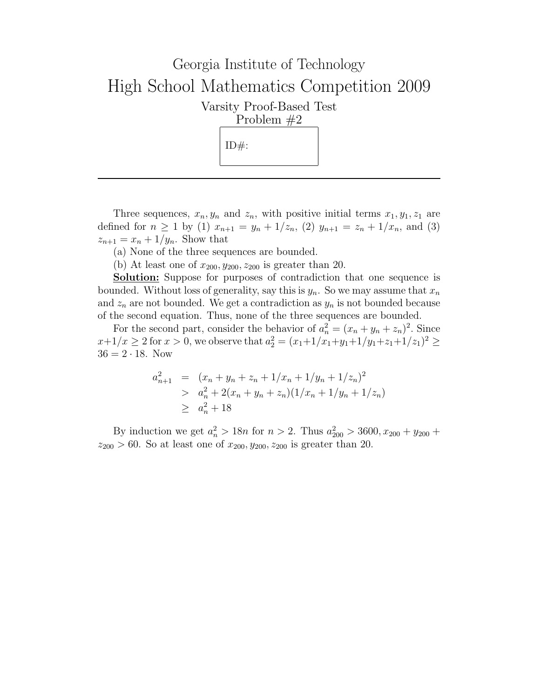## Georgia Institute of Technology High School Mathematics Competition 2009 Varsity Proof-Based Test Problem #2  $ID#$ :

Three sequences,  $x_n, y_n$  and  $z_n$ , with positive initial terms  $x_1, y_1, z_1$  are defined for  $n \ge 1$  by (1)  $x_{n+1} = y_n + 1/z_n$ , (2)  $y_{n+1} = z_n + 1/x_n$ , and (3)  $z_{n+1} = x_n + 1/y_n$ . Show that

(a) None of the three sequences are bounded.

(b) At least one of  $x_{200}, y_{200}, z_{200}$  is greater than 20.

Solution: Suppose for purposes of contradiction that one sequence is bounded. Without loss of generality, say this is  $y_n$ . So we may assume that  $x_n$ and  $z_n$  are not bounded. We get a contradiction as  $y_n$  is not bounded because of the second equation. Thus, none of the three sequences are bounded.

For the second part, consider the behavior of  $a_n^2 = (x_n + y_n + z_n)^2$ . Since  $x+1/x \ge 2$  for  $x > 0$ , we observe that  $a_2^2 = (x_1+1/x_1+y_1+1/y_1+z_1+1/z_1)^2 \ge$  $36 = 2 \cdot 18$ . Now

$$
a_{n+1}^2 = (x_n + y_n + z_n + 1/x_n + 1/y_n + 1/z_n)^2
$$
  
> 
$$
a_n^2 + 2(x_n + y_n + z_n)(1/x_n + 1/y_n + 1/z_n)
$$
  
> 
$$
a_n^2 + 18
$$

By induction we get  $a_n^2 > 18n$  for  $n > 2$ . Thus  $a_{200}^2 > 3600$ ,  $x_{200} + y_{200} +$  $z_{200} > 60$ . So at least one of  $x_{200}, y_{200}, z_{200}$  is greater than 20.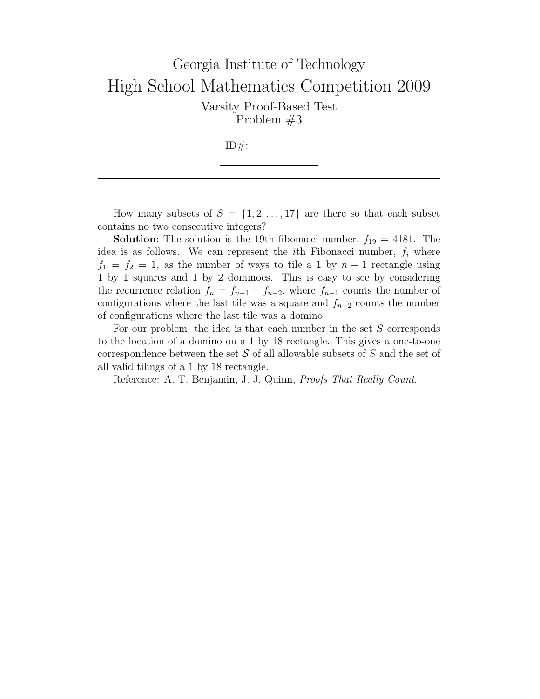

How many subsets of  $S = \{1, 2, ..., 17\}$  are there so that each subset contains no two consecutive integers?

**Solution:** The solution is the 19th fibonacci number,  $f_{19} = 4181$ . The idea is as follows. We can represent the *i*th Fibonacci number,  $f_i$  where  $f_1 = f_2 = 1$ , as the number of ways to tile a 1 by  $n-1$  rectangle using 1 by 1 squares and 1 by 2 dominoes. This is easy to see by considering the recurrence relation  $f_n = f_{n-1} + f_{n-2}$ , where  $f_{n-1}$  counts the number of configurations where the last tile was a square and  $f_{n-2}$  counts the number of configurations where the last tile was a domino.

For our problem, the idea is that each number in the set S corresponds to the location of a domino on a 1 by 18 rectangle. This gives a one-to-one correspondence between the set  $S$  of all allowable subsets of  $S$  and the set of all valid tilings of a 1 by 18 rectangle.

Reference: A. T. Benjamin, J. J. Quinn, Proofs That Really Count.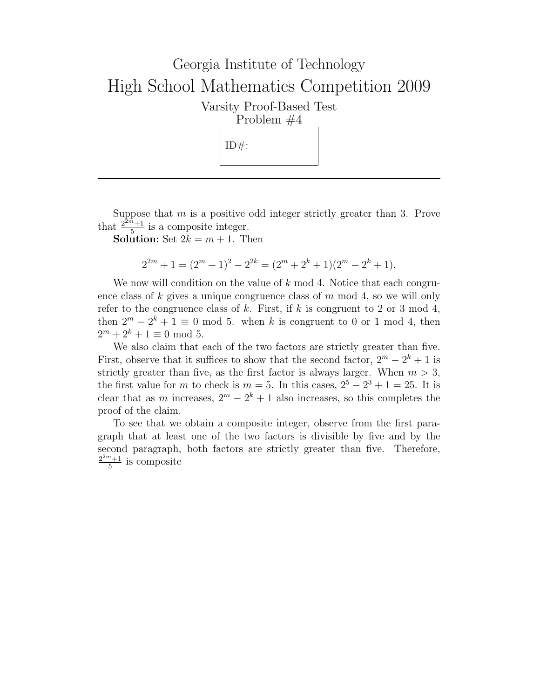## Georgia Institute of Technology High School Mathematics Competition 2009 Varsity Proof-Based Test Problem #4  $ID#$ :

Suppose that  $m$  is a positive odd integer strictly greater than 3. Prove that  $\frac{2^{2m}+1}{5}$  $\frac{n+1}{5}$  is a composite integer.

**Solution:** Set  $2k = m + 1$ . Then

$$
2^{2m} + 1 = (2^m + 1)^2 - 2^{2k} = (2^m + 2^k + 1)(2^m - 2^k + 1).
$$

We now will condition on the value of  $k \mod 4$ . Notice that each congruence class of k gives a unique congruence class of  $m \mod 4$ , so we will only refer to the congruence class of k. First, if k is congruent to 2 or 3 mod 4, then  $2^m - 2^k + 1 \equiv 0 \mod 5$ . when k is congruent to 0 or 1 mod 4, then  $2^m + 2^k + 1 \equiv 0 \mod 5.$ 

We also claim that each of the two factors are strictly greater than five. First, observe that it suffices to show that the second factor,  $2^m - 2^k + 1$  is strictly greater than five, as the first factor is always larger. When  $m > 3$ , the first value for m to check is  $m = 5$ . In this cases,  $2^5 - 2^3 + 1 = 25$ . It is clear that as m increases,  $2^m - 2^k + 1$  also increases, so this completes the proof of the claim.

To see that we obtain a composite integer, observe from the first paragraph that at least one of the two factors is divisible by five and by the second paragraph, both factors are strictly greater than five. Therefore,  $2^{2m}+1$  $\frac{n+1}{5}$  is composite